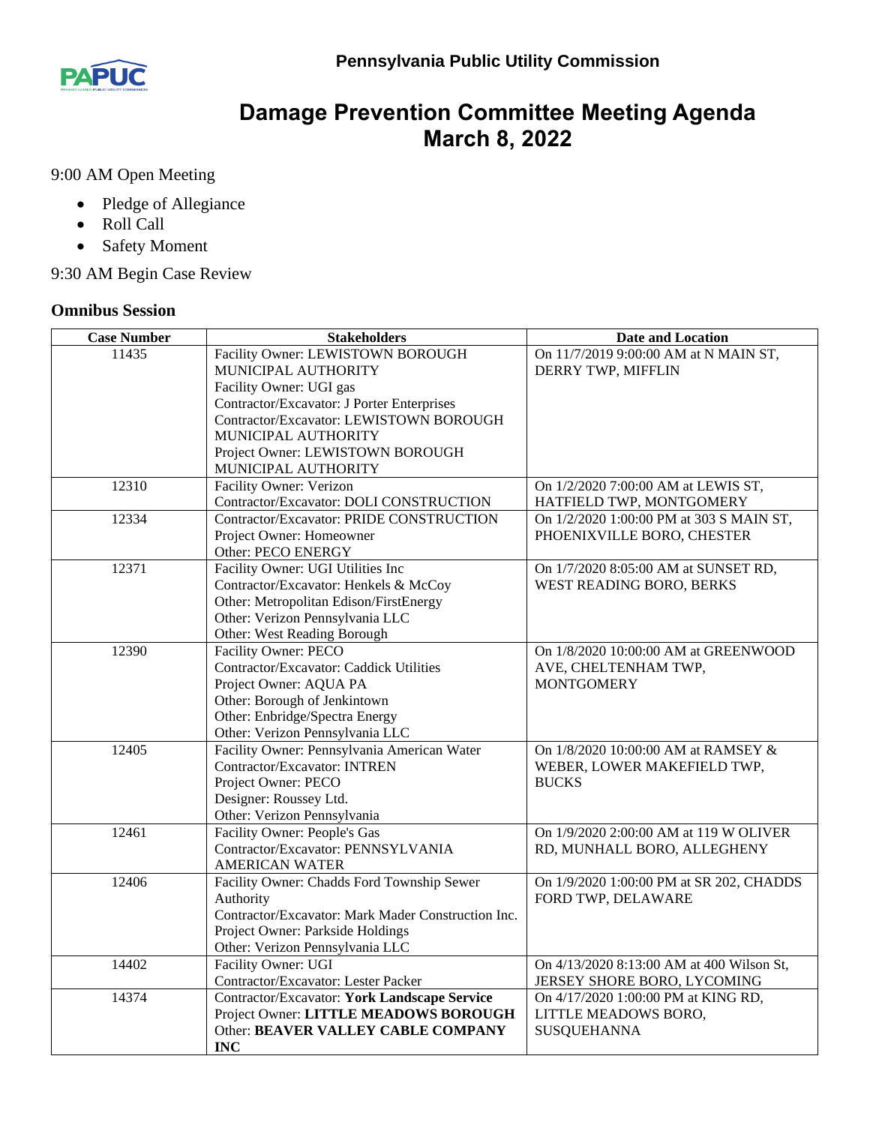

## **Damage Prevention Committee Meeting Agenda March 8, 2022**

9:00 AM Open Meeting

- Pledge of Allegiance
- Roll Call
- Safety Moment

9:30 AM Begin Case Review

## **Omnibus Session**

| <b>Case Number</b> | <b>Stakeholders</b>                                | <b>Date and Location</b>                  |
|--------------------|----------------------------------------------------|-------------------------------------------|
| 11435              | Facility Owner: LEWISTOWN BOROUGH                  | On 11/7/2019 9:00:00 AM at N MAIN ST,     |
|                    | MUNICIPAL AUTHORITY                                | DERRY TWP, MIFFLIN                        |
|                    | Facility Owner: UGI gas                            |                                           |
|                    | Contractor/Excavator: J Porter Enterprises         |                                           |
|                    | Contractor/Excavator: LEWISTOWN BOROUGH            |                                           |
|                    | MUNICIPAL AUTHORITY                                |                                           |
|                    | Project Owner: LEWISTOWN BOROUGH                   |                                           |
|                    | MUNICIPAL AUTHORITY                                |                                           |
| 12310              | Facility Owner: Verizon                            | On 1/2/2020 7:00:00 AM at LEWIS ST,       |
|                    | Contractor/Excavator: DOLI CONSTRUCTION            | HATFIELD TWP, MONTGOMERY                  |
| 12334              | Contractor/Excavator: PRIDE CONSTRUCTION           | On 1/2/2020 1:00:00 PM at 303 S MAIN ST,  |
|                    | Project Owner: Homeowner                           | PHOENIXVILLE BORO, CHESTER                |
|                    | Other: PECO ENERGY                                 |                                           |
| 12371              | Facility Owner: UGI Utilities Inc                  | On 1/7/2020 8:05:00 AM at SUNSET RD,      |
|                    | Contractor/Excavator: Henkels & McCoy              | WEST READING BORO, BERKS                  |
|                    | Other: Metropolitan Edison/FirstEnergy             |                                           |
|                    | Other: Verizon Pennsylvania LLC                    |                                           |
|                    | Other: West Reading Borough                        |                                           |
| 12390              | Facility Owner: PECO                               | On 1/8/2020 10:00:00 AM at GREENWOOD      |
|                    | Contractor/Excavator: Caddick Utilities            | AVE, CHELTENHAM TWP,                      |
|                    | Project Owner: AQUA PA                             | <b>MONTGOMERY</b>                         |
|                    | Other: Borough of Jenkintown                       |                                           |
|                    | Other: Enbridge/Spectra Energy                     |                                           |
|                    | Other: Verizon Pennsylvania LLC                    |                                           |
| 12405              | Facility Owner: Pennsylvania American Water        | On 1/8/2020 10:00:00 AM at RAMSEY &       |
|                    | Contractor/Excavator: INTREN                       | WEBER, LOWER MAKEFIELD TWP,               |
|                    | Project Owner: PECO                                | <b>BUCKS</b>                              |
|                    | Designer: Roussey Ltd.                             |                                           |
|                    | Other: Verizon Pennsylvania                        |                                           |
| 12461              | Facility Owner: People's Gas                       | On 1/9/2020 2:00:00 AM at 119 W OLIVER    |
|                    | Contractor/Excavator: PENNSYLVANIA                 | RD, MUNHALL BORO, ALLEGHENY               |
|                    | <b>AMERICAN WATER</b>                              |                                           |
| 12406              | Facility Owner: Chadds Ford Township Sewer         | On 1/9/2020 1:00:00 PM at SR 202, CHADDS  |
|                    | Authority                                          | FORD TWP, DELAWARE                        |
|                    | Contractor/Excavator: Mark Mader Construction Inc. |                                           |
|                    | Project Owner: Parkside Holdings                   |                                           |
|                    | Other: Verizon Pennsylvania LLC                    |                                           |
| 14402              | Facility Owner: UGI                                | On 4/13/2020 8:13:00 AM at 400 Wilson St, |
|                    | Contractor/Excavator: Lester Packer                | JERSEY SHORE BORO, LYCOMING               |
| 14374              | Contractor/Excavator: York Landscape Service       | On 4/17/2020 1:00:00 PM at KING RD,       |
|                    | Project Owner: LITTLE MEADOWS BOROUGH              | LITTLE MEADOWS BORO,                      |
|                    | Other: BEAVER VALLEY CABLE COMPANY                 | <b>SUSQUEHANNA</b>                        |
|                    | <b>INC</b>                                         |                                           |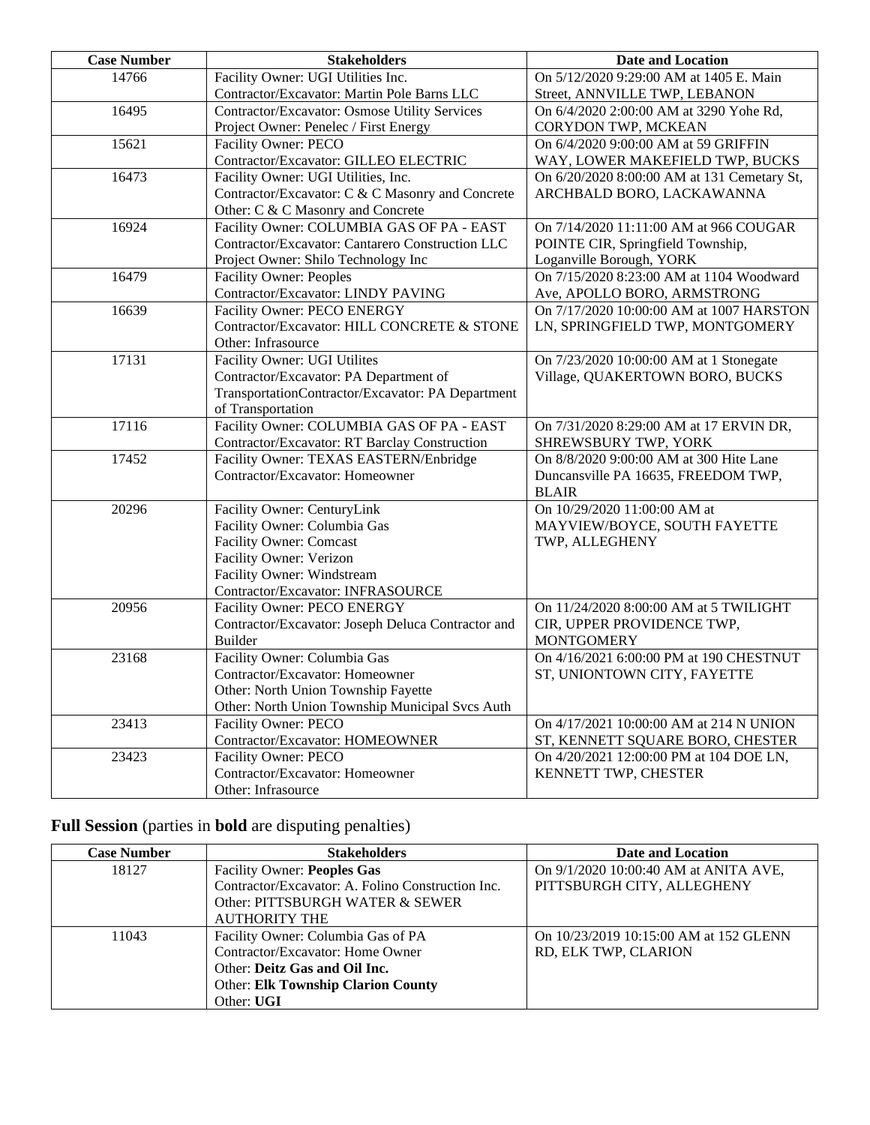| <b>Case Number</b> | <b>Stakeholders</b>                                             | <b>Date and Location</b>                                     |
|--------------------|-----------------------------------------------------------------|--------------------------------------------------------------|
| 14766              | Facility Owner: UGI Utilities Inc.                              | On 5/12/2020 9:29:00 AM at 1405 E. Main                      |
|                    | Contractor/Excavator: Martin Pole Barns LLC                     | Street, ANNVILLE TWP, LEBANON                                |
| 16495              | <b>Contractor/Excavator: Osmose Utility Services</b>            | On 6/4/2020 2:00:00 AM at 3290 Yohe Rd,                      |
|                    | Project Owner: Penelec / First Energy                           | CORYDON TWP, MCKEAN                                          |
| 15621              | Facility Owner: PECO                                            | On 6/4/2020 9:00:00 AM at 59 GRIFFIN                         |
|                    | Contractor/Excavator: GILLEO ELECTRIC                           | WAY, LOWER MAKEFIELD TWP, BUCKS                              |
| 16473              | Facility Owner: UGI Utilities, Inc.                             | On 6/20/2020 8:00:00 AM at 131 Cemetary St,                  |
|                    | Contractor/Excavator: C & C Masonry and Concrete                | ARCHBALD BORO, LACKAWANNA                                    |
|                    | Other: C & C Masonry and Concrete                               |                                                              |
| 16924              | Facility Owner: COLUMBIA GAS OF PA - EAST                       | On 7/14/2020 11:11:00 AM at 966 COUGAR                       |
|                    | Contractor/Excavator: Cantarero Construction LLC                | POINTE CIR, Springfield Township,                            |
|                    | Project Owner: Shilo Technology Inc                             | Loganville Borough, YORK                                     |
| 16479              | <b>Facility Owner: Peoples</b>                                  | On 7/15/2020 8:23:00 AM at 1104 Woodward                     |
|                    | Contractor/Excavator: LINDY PAVING                              | Ave, APOLLO BORO, ARMSTRONG                                  |
| 16639              | Facility Owner: PECO ENERGY                                     | On 7/17/2020 10:00:00 AM at 1007 HARSTON                     |
|                    | Contractor/Excavator: HILL CONCRETE & STONE                     | LN, SPRINGFIELD TWP, MONTGOMERY                              |
|                    | Other: Infrasource                                              |                                                              |
| 17131              | <b>Facility Owner: UGI Utilites</b>                             | On 7/23/2020 10:00:00 AM at 1 Stonegate                      |
|                    | Contractor/Excavator: PA Department of                          | Village, QUAKERTOWN BORO, BUCKS                              |
|                    | TransportationContractor/Excavator: PA Department               |                                                              |
|                    | of Transportation                                               |                                                              |
| 17116              | Facility Owner: COLUMBIA GAS OF PA - EAST                       | On 7/31/2020 8:29:00 AM at 17 ERVIN DR,                      |
|                    | Contractor/Excavator: RT Barclay Construction                   | SHREWSBURY TWP, YORK                                         |
| 17452              | Facility Owner: TEXAS EASTERN/Enbridge                          | On 8/8/2020 9:00:00 AM at 300 Hite Lane                      |
|                    | Contractor/Excavator: Homeowner                                 | Duncansville PA 16635, FREEDOM TWP,                          |
|                    |                                                                 | <b>BLAIR</b>                                                 |
| 20296              | Facility Owner: CenturyLink                                     | On 10/29/2020 11:00:00 AM at                                 |
|                    | Facility Owner: Columbia Gas                                    | MAYVIEW/BOYCE, SOUTH FAYETTE                                 |
|                    | <b>Facility Owner: Comcast</b>                                  | TWP, ALLEGHENY                                               |
|                    | Facility Owner: Verizon                                         |                                                              |
|                    | Facility Owner: Windstream                                      |                                                              |
| 20956              | Contractor/Excavator: INFRASOURCE                               | On 11/24/2020 8:00:00 AM at 5 TWILIGHT                       |
|                    | Facility Owner: PECO ENERGY                                     |                                                              |
|                    | Contractor/Excavator: Joseph Deluca Contractor and<br>Builder   | CIR, UPPER PROVIDENCE TWP,                                   |
| 23168              |                                                                 | <b>MONTGOMERY</b><br>On 4/16/2021 6:00:00 PM at 190 CHESTNUT |
|                    | Facility Owner: Columbia Gas<br>Contractor/Excavator: Homeowner | ST, UNIONTOWN CITY, FAYETTE                                  |
|                    | Other: North Union Township Fayette                             |                                                              |
|                    | Other: North Union Township Municipal Svcs Auth                 |                                                              |
| 23413              | Facility Owner: PECO                                            | On 4/17/2021 10:00:00 AM at 214 N UNION                      |
|                    | Contractor/Excavator: HOMEOWNER                                 | ST, KENNETT SQUARE BORO, CHESTER                             |
| 23423              | Facility Owner: PECO                                            | On 4/20/2021 12:00:00 PM at 104 DOE LN,                      |
|                    | Contractor/Excavator: Homeowner                                 | KENNETT TWP, CHESTER                                         |
|                    | Other: Infrasource                                              |                                                              |
|                    |                                                                 |                                                              |

## **Full Session** (parties in **bold** are disputing penalties)

| <b>Case Number</b> | <b>Stakeholders</b>                               | Date and Location                      |
|--------------------|---------------------------------------------------|----------------------------------------|
| 18127              | <b>Facility Owner: Peoples Gas</b>                | On 9/1/2020 10:00:40 AM at ANITA AVE,  |
|                    | Contractor/Excavator: A. Folino Construction Inc. | PITTSBURGH CITY, ALLEGHENY             |
|                    | Other: PITTSBURGH WATER & SEWER                   |                                        |
|                    | <b>AUTHORITY THE</b>                              |                                        |
| 11043              | Facility Owner: Columbia Gas of PA                | On 10/23/2019 10:15:00 AM at 152 GLENN |
|                    | Contractor/Excavator: Home Owner                  | RD, ELK TWP, CLARION                   |
|                    | Other: Deitz Gas and Oil Inc.                     |                                        |
|                    | <b>Other: Elk Township Clarion County</b>         |                                        |
|                    | Other: UGI                                        |                                        |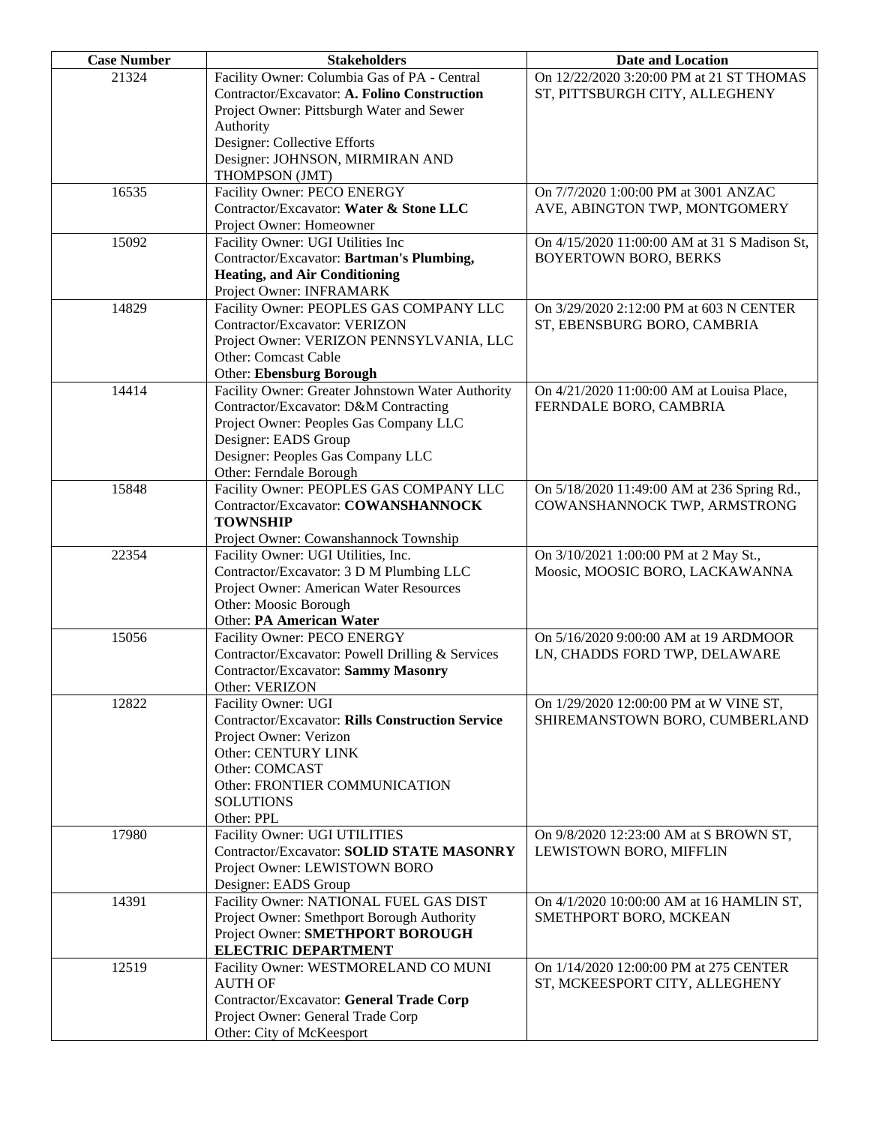| <b>Case Number</b> | <b>Stakeholders</b>                                                            | <b>Date and Location</b>                     |
|--------------------|--------------------------------------------------------------------------------|----------------------------------------------|
| 21324              | Facility Owner: Columbia Gas of PA - Central                                   | On 12/22/2020 3:20:00 PM at 21 ST THOMAS     |
|                    | Contractor/Excavator: A. Folino Construction                                   | ST, PITTSBURGH CITY, ALLEGHENY               |
|                    | Project Owner: Pittsburgh Water and Sewer                                      |                                              |
|                    | Authority                                                                      |                                              |
|                    | Designer: Collective Efforts                                                   |                                              |
|                    | Designer: JOHNSON, MIRMIRAN AND                                                |                                              |
|                    | THOMPSON (JMT)                                                                 |                                              |
| 16535              | Facility Owner: PECO ENERGY                                                    | On 7/7/2020 1:00:00 PM at 3001 ANZAC         |
|                    | Contractor/Excavator: Water & Stone LLC                                        | AVE, ABINGTON TWP, MONTGOMERY                |
|                    | Project Owner: Homeowner                                                       |                                              |
| 15092              | Facility Owner: UGI Utilities Inc                                              | On 4/15/2020 11:00:00 AM at 31 S Madison St, |
|                    | Contractor/Excavator: Bartman's Plumbing,                                      | <b>BOYERTOWN BORO, BERKS</b>                 |
|                    | <b>Heating, and Air Conditioning</b>                                           |                                              |
|                    | Project Owner: INFRAMARK                                                       |                                              |
| 14829              | Facility Owner: PEOPLES GAS COMPANY LLC                                        | On 3/29/2020 2:12:00 PM at 603 N CENTER      |
|                    | Contractor/Excavator: VERIZON                                                  | ST, EBENSBURG BORO, CAMBRIA                  |
|                    | Project Owner: VERIZON PENNSYLVANIA, LLC<br>Other: Comcast Cable               |                                              |
|                    | <b>Other: Ebensburg Borough</b>                                                |                                              |
| 14414              | Facility Owner: Greater Johnstown Water Authority                              | On 4/21/2020 11:00:00 AM at Louisa Place,    |
|                    | Contractor/Excavator: D&M Contracting                                          | FERNDALE BORO, CAMBRIA                       |
|                    | Project Owner: Peoples Gas Company LLC                                         |                                              |
|                    | Designer: EADS Group                                                           |                                              |
|                    | Designer: Peoples Gas Company LLC                                              |                                              |
|                    | Other: Ferndale Borough                                                        |                                              |
| 15848              | Facility Owner: PEOPLES GAS COMPANY LLC                                        | On 5/18/2020 11:49:00 AM at 236 Spring Rd.,  |
|                    | Contractor/Excavator: COWANSHANNOCK                                            | COWANSHANNOCK TWP, ARMSTRONG                 |
|                    | <b>TOWNSHIP</b>                                                                |                                              |
|                    | Project Owner: Cowanshannock Township                                          |                                              |
| 22354              | Facility Owner: UGI Utilities, Inc.                                            | On 3/10/2021 1:00:00 PM at 2 May St.,        |
|                    | Contractor/Excavator: 3 D M Plumbing LLC                                       | Moosic, MOOSIC BORO, LACKAWANNA              |
|                    | Project Owner: American Water Resources                                        |                                              |
|                    | Other: Moosic Borough                                                          |                                              |
|                    | Other: PA American Water                                                       |                                              |
| 15056              | Facility Owner: PECO ENERGY                                                    | On 5/16/2020 9:00:00 AM at 19 ARDMOOR        |
|                    | Contractor/Excavator: Powell Drilling & Services                               | LN, CHADDS FORD TWP, DELAWARE                |
|                    | Contractor/Excavator: Sammy Masonry                                            |                                              |
|                    | Other: VERIZON                                                                 |                                              |
| 12822              | Facility Owner: UGI<br><b>Contractor/Excavator: Rills Construction Service</b> | On 1/29/2020 12:00:00 PM at W VINE ST,       |
|                    | Project Owner: Verizon                                                         | SHIREMANSTOWN BORO, CUMBERLAND               |
|                    | Other: CENTURY LINK                                                            |                                              |
|                    | Other: COMCAST                                                                 |                                              |
|                    | Other: FRONTIER COMMUNICATION                                                  |                                              |
|                    | <b>SOLUTIONS</b>                                                               |                                              |
|                    | Other: PPL                                                                     |                                              |
| 17980              | Facility Owner: UGI UTILITIES                                                  | On 9/8/2020 12:23:00 AM at S BROWN ST,       |
|                    | Contractor/Excavator: SOLID STATE MASONRY                                      | LEWISTOWN BORO, MIFFLIN                      |
|                    | Project Owner: LEWISTOWN BORO                                                  |                                              |
|                    | Designer: EADS Group                                                           |                                              |
| 14391              | Facility Owner: NATIONAL FUEL GAS DIST                                         | On 4/1/2020 10:00:00 AM at 16 HAMLIN ST,     |
|                    | Project Owner: Smethport Borough Authority                                     | SMETHPORT BORO, MCKEAN                       |
|                    | Project Owner: SMETHPORT BOROUGH                                               |                                              |
|                    | <b>ELECTRIC DEPARTMENT</b>                                                     |                                              |
| 12519              | Facility Owner: WESTMORELAND CO MUNI                                           | On 1/14/2020 12:00:00 PM at 275 CENTER       |
|                    | <b>AUTH OF</b>                                                                 | ST, MCKEESPORT CITY, ALLEGHENY               |
|                    | Contractor/Excavator: General Trade Corp                                       |                                              |
|                    | Project Owner: General Trade Corp                                              |                                              |
|                    | Other: City of McKeesport                                                      |                                              |